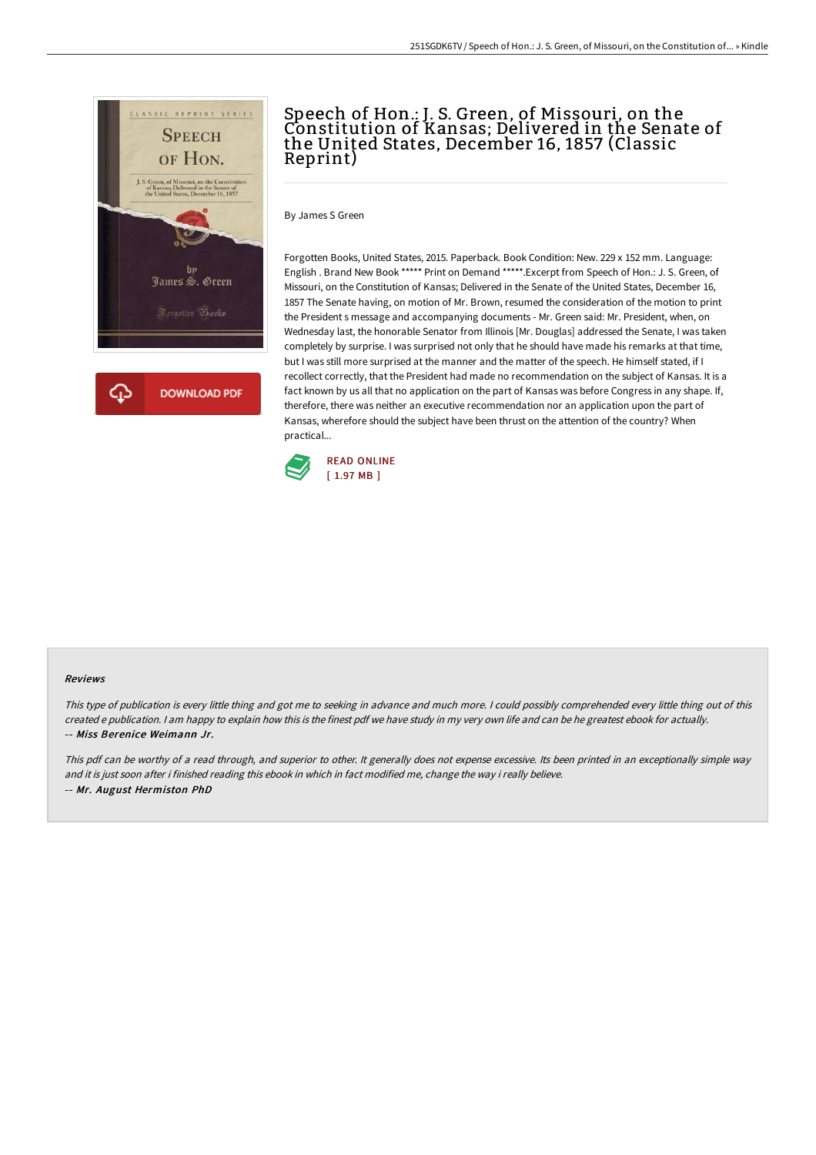

# Speech of Hon.: J. S. Green, of Missouri, on the Constitution of Kansas; Delivered in the Senate of the United States, December 16, 1857 (Classic Reprint)

By James S Green

Forgotten Books, United States, 2015. Paperback. Book Condition: New. 229 x 152 mm. Language: English . Brand New Book \*\*\*\*\* Print on Demand \*\*\*\*\*.Excerpt from Speech of Hon.: J. S. Green, of Missouri, on the Constitution of Kansas; Delivered in the Senate of the United States, December 16, 1857 The Senate having, on motion of Mr. Brown, resumed the consideration of the motion to print the President s message and accompanying documents - Mr. Green said: Mr. President, when, on Wednesday last, the honorable Senator from Illinois [Mr. Douglas] addressed the Senate, I was taken completely by surprise. I was surprised not only that he should have made his remarks at that time, but I was still more surprised at the manner and the matter of the speech. He himself stated, if I recollect correctly, that the President had made no recommendation on the subject of Kansas. It is a fact known by us all that no application on the part of Kansas was before Congress in any shape. If, therefore, there was neither an executive recommendation nor an application upon the part of Kansas, wherefore should the subject have been thrust on the attention of the country? When practical...



#### Reviews

This type of publication is every little thing and got me to seeking in advance and much more. <sup>I</sup> could possibly comprehended every little thing out of this created <sup>e</sup> publication. <sup>I</sup> am happy to explain how this is the finest pdf we have study in my very own life and can be he greatest ebook for actually. -- Miss Berenice Weimann Jr.

This pdf can be worthy of a read through, and superior to other. It generally does not expense excessive. Its been printed in an exceptionally simple way and it is just soon after i finished reading this ebook in which in fact modified me, change the way i really believe. -- Mr. August Hermiston PhD